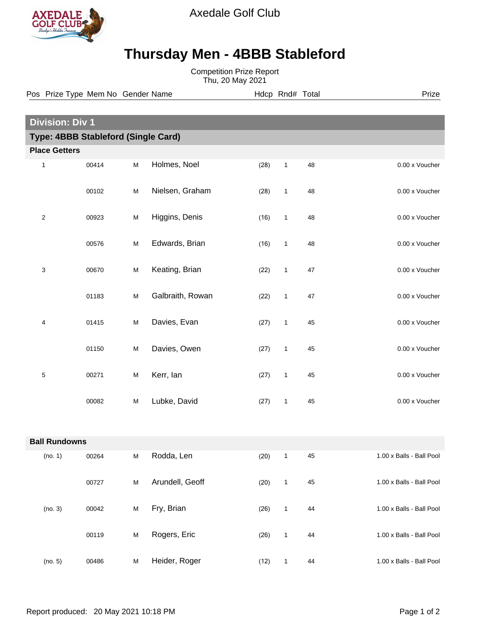

Axedale Golf Club

## **Thursday Men - 4BBB Stableford**

Competition Prize Report Thu, 20 May 2021

| Pos Prize Type Mem No Gender Name |  |  |
|-----------------------------------|--|--|
|                                   |  |  |

e **Post Prize** Hdcp Rnd# Total Prize Prize

| <b>Division: Div 1</b>              |       |           |                  |  |                      |    |                          |
|-------------------------------------|-------|-----------|------------------|--|----------------------|----|--------------------------|
| Type: 4BBB Stableford (Single Card) |       |           |                  |  |                      |    |                          |
| <b>Place Getters</b>                |       |           |                  |  |                      |    |                          |
| 1                                   | 00414 | ${\sf M}$ | Holmes, Noel     |  | (28)<br>$\mathbf{1}$ | 48 | 0.00 x Voucher           |
|                                     | 00102 | M         | Nielsen, Graham  |  | $\mathbf{1}$<br>(28) | 48 | 0.00 x Voucher           |
| $\sqrt{2}$                          | 00923 | M         | Higgins, Denis   |  | (16)<br>$\mathbf{1}$ | 48 | 0.00 x Voucher           |
|                                     | 00576 | M         | Edwards, Brian   |  | (16)<br>$\mathbf{1}$ | 48 | 0.00 x Voucher           |
| 3                                   | 00670 | M         | Keating, Brian   |  | (22)<br>$\mathbf{1}$ | 47 | 0.00 x Voucher           |
|                                     | 01183 | M         | Galbraith, Rowan |  | (22)<br>$\mathbf{1}$ | 47 | 0.00 x Voucher           |
| 4                                   | 01415 | M         | Davies, Evan     |  | (27)<br>$\mathbf{1}$ | 45 | 0.00 x Voucher           |
|                                     | 01150 | M         | Davies, Owen     |  | (27)<br>$\mathbf{1}$ | 45 | 0.00 x Voucher           |
| 5                                   | 00271 | M         | Kerr, lan        |  | (27)<br>$\mathbf{1}$ | 45 | 0.00 x Voucher           |
|                                     | 00082 | M         | Lubke, David     |  | (27)<br>$\mathbf{1}$ | 45 | 0.00 x Voucher           |
|                                     |       |           |                  |  |                      |    |                          |
| <b>Ball Rundowns</b>                |       |           |                  |  |                      |    |                          |
| (no. 1)                             | 00264 | M         | Rodda, Len       |  | (20)<br>1            | 45 | 1.00 x Balls - Ball Pool |
|                                     | 00727 | $\sf M$   | Arundell, Geoff  |  | $\mathbf{1}$<br>(20) | 45 | 1.00 x Balls - Ball Pool |
| (no. 3)                             | 00042 | $\sf M$   | Fry, Brian       |  | (26)<br>$\mathbf{1}$ | 44 | 1.00 x Balls - Ball Pool |
|                                     | 00119 | ${\sf M}$ | Rogers, Eric     |  | $\mathbf{1}$<br>(26) | 44 | 1.00 x Balls - Ball Pool |
| (no. 5)                             | 00486 | $\sf M$   | Heider, Roger    |  | (12)<br>$\mathbf{1}$ | 44 | 1.00 x Balls - Ball Pool |